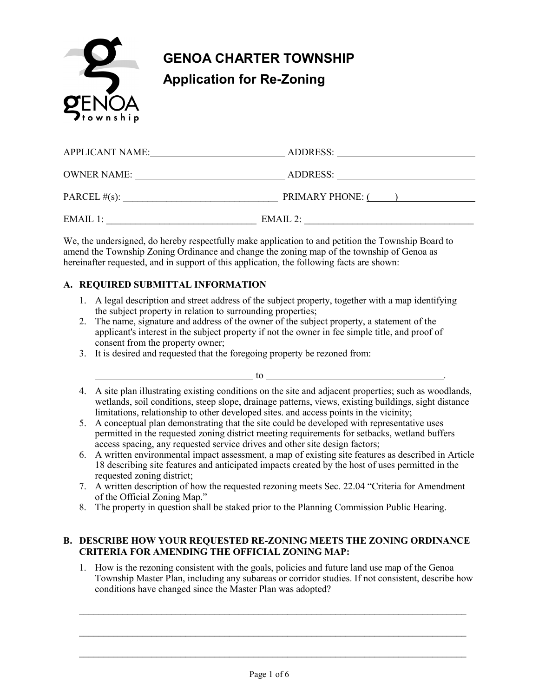

| <b>APPLICANT NAME:</b> | ADDRESS:                |
|------------------------|-------------------------|
| <b>OWNER NAME:</b>     | ADDRESS:                |
| PARCEL $#(s)$ :        | <b>PRIMARY PHONE: (</b> |
| $EMAIL$ 1:             | EMAIL 2:                |

We, the undersigned, do hereby respectfully make application to and petition the Township Board to amend the Township Zoning Ordinance and change the zoning map of the township of Genoa as hereinafter requested, and in support of this application, the following facts are shown:

### **A. REQUIRED SUBMITTAL INFORMATION**

- 1. A legal description and street address of the subject property, together with a map identifying the subject property in relation to surrounding properties;
- 2. The name, signature and address of the owner of the subject property, a statement of the applicant's interest in the subject property if not the owner in fee simple title, and proof of consent from the property owner;
- 3. It is desired and requested that the foregoing property be rezoned from:
- 4. A site plan illustrating existing conditions on the site and adjacent properties; such as woodlands, wetlands, soil conditions, steep slope, drainage patterns, views, existing buildings, sight distance limitations, relationship to other developed sites. and access points in the vicinity;

to .

- 5. A conceptual plan demonstrating that the site could be developed with representative uses permitted in the requested zoning district meeting requirements for setbacks, wetland buffers access spacing, any requested service drives and other site design factors;
- 6. A written environmental impact assessment, a map of existing site features as described in Article 18 describing site features and anticipated impacts created by the host of uses permitted in the requested zoning district;
- 7. A written description of how the requested rezoning meets Sec. 22.04 "Criteria for Amendment of the Official Zoning Map."
- 8. The property in question shall be staked prior to the Planning Commission Public Hearing.

### **B. DESCRIBE HOW YOUR REQUESTED RE-ZONING MEETS THE ZONING ORDINANCE CRITERIA FOR AMENDING THE OFFICIAL ZONING MAP:**

1. How is the rezoning consistent with the goals, policies and future land use map of the Genoa Township Master Plan, including any subareas or corridor studies. If not consistent, describe how conditions have changed since the Master Plan was adopted?

 $\_$  , and the contribution of the contribution of the contribution of the contribution of  $\mathcal{L}_\text{max}$ 

 $\_$  , and the contribution of the contribution of the contribution of the contribution of  $\mathcal{L}_\text{max}$ 

 $\_$  , and the contribution of the contribution of the contribution of the contribution of  $\mathcal{L}_\text{max}$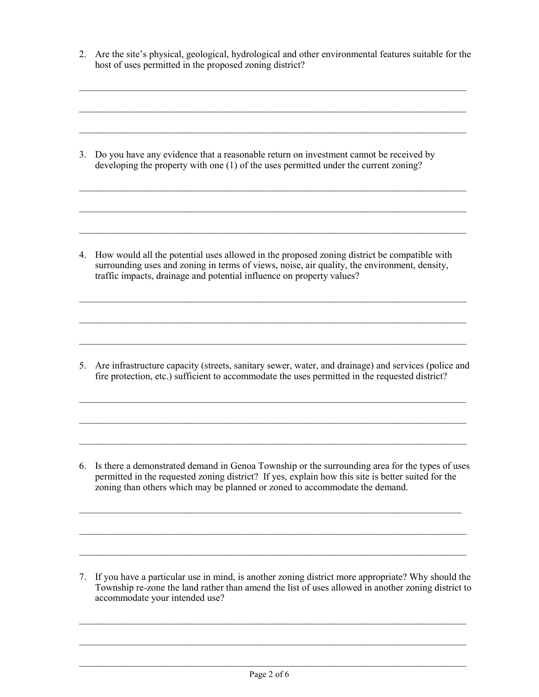2. Are the site's physical, geological, hydrological and other environmental features suitable for the host of uses permitted in the proposed zoning district?

 $\_$  , and the set of the set of the set of the set of the set of the set of the set of the set of the set of the set of the set of the set of the set of the set of the set of the set of the set of the set of the set of th

 $\_$  , and the set of the set of the set of the set of the set of the set of the set of the set of the set of the set of the set of the set of the set of the set of the set of the set of the set of the set of the set of th

 $\_$  , and the set of the set of the set of the set of the set of the set of the set of the set of the set of the set of the set of the set of the set of the set of the set of the set of the set of the set of the set of th

 $\_$  , and the set of the set of the set of the set of the set of the set of the set of the set of the set of the set of the set of the set of the set of the set of the set of the set of the set of the set of the set of th

 $\_$  , and the set of the set of the set of the set of the set of the set of the set of the set of the set of the set of the set of the set of the set of the set of the set of the set of the set of the set of the set of th

 $\_$  , and the set of the set of the set of the set of the set of the set of the set of the set of the set of the set of the set of the set of the set of the set of the set of the set of the set of the set of the set of th

3. Do you have any evidence that a reasonable return on investment cannot be received by developing the property with one (1) of the uses permitted under the current zoning?

4. How would all the potential uses allowed in the proposed zoning district be compatible with surrounding uses and zoning in terms of views, noise, air quality, the environment, density, traffic impacts, drainage and potential influence on property values?

 $\_$  , and the set of the set of the set of the set of the set of the set of the set of the set of the set of the set of the set of the set of the set of the set of the set of the set of the set of the set of the set of th

 $\_$  , and the set of the set of the set of the set of the set of the set of the set of the set of the set of the set of the set of the set of the set of the set of the set of the set of the set of the set of the set of th

 $\_$  , and the set of the set of the set of the set of the set of the set of the set of the set of the set of the set of the set of the set of the set of the set of the set of the set of the set of the set of the set of th

5. Are infrastructure capacity (streets, sanitary sewer, water, and drainage) and services (police and fire protection, etc.) sufficient to accommodate the uses permitted in the requested district?

 $\_$  , and the set of the set of the set of the set of the set of the set of the set of the set of the set of the set of the set of the set of the set of the set of the set of the set of the set of the set of the set of th

 $\_$  , and the set of the set of the set of the set of the set of the set of the set of the set of the set of the set of the set of the set of the set of the set of the set of the set of the set of the set of the set of th

 $\_$  , and the set of the set of the set of the set of the set of the set of the set of the set of the set of the set of the set of the set of the set of the set of the set of the set of the set of the set of the set of th

6. Is there a demonstrated demand in Genoa Township or the surrounding area for the types of uses permitted in the requested zoning district? If yes, explain how this site is better suited for the zoning than others which may be planned or zoned to accommodate the demand.

 $\_$  , and the set of the set of the set of the set of the set of the set of the set of the set of the set of the set of the set of the set of the set of the set of the set of the set of the set of the set of the set of th

 $\_$  , and the set of the set of the set of the set of the set of the set of the set of the set of the set of the set of the set of the set of the set of the set of the set of the set of the set of the set of the set of th

 $\_$  , and the set of the set of the set of the set of the set of the set of the set of the set of the set of the set of the set of the set of the set of the set of the set of the set of the set of the set of the set of th

7. If you have a particular use in mind, is another zoning district more appropriate? Why should the Township re-zone the land rather than amend the list of uses allowed in another zoning district to accommodate your intended use?

 $\_$  , and the set of the set of the set of the set of the set of the set of the set of the set of the set of the set of the set of the set of the set of the set of the set of the set of the set of the set of the set of th

 $\_$  , and the set of the set of the set of the set of the set of the set of the set of the set of the set of the set of the set of the set of the set of the set of the set of the set of the set of the set of the set of th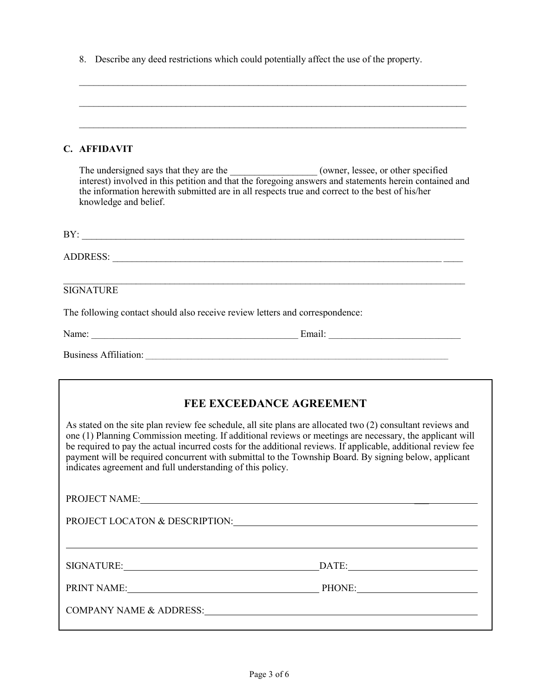8. Describe any deed restrictions which could potentially affect the use of the property.

| C. AFFIDAVIT |  |
|--------------|--|

The undersigned says that they are the \_\_\_\_\_\_\_\_\_\_\_\_\_\_\_\_\_\_\_\_\_\_(owner, lessee, or other specified interest) involved in this petition and that the foregoing answers and statements herein contained and the information herewith submitted are in all respects true and correct to the best of his/her knowledge and belief.

| BY:                                                                                                                                                                                                                            |  |  |  |  |
|--------------------------------------------------------------------------------------------------------------------------------------------------------------------------------------------------------------------------------|--|--|--|--|
|                                                                                                                                                                                                                                |  |  |  |  |
| <b>SIGNATURE</b>                                                                                                                                                                                                               |  |  |  |  |
| The following contact should also receive review letters and correspondence:                                                                                                                                                   |  |  |  |  |
| Name: 2008. [2016] 2016. [2016] 2016. [2016] 2016. [2016] 2016. [2016] 2016. [2016] 2016. [2016] 2016. [2016] 2016. [2016] 2016. [2016] 2016. [2016] 2016. [2016] 2016. [2016] 2016. [2016] 2016. [2016] 2016. [2016] 2016. [2 |  |  |  |  |
|                                                                                                                                                                                                                                |  |  |  |  |

## **FEE EXCEEDANCE AGREEMENT**

As stated on the site plan review fee schedule, all site plans are allocated two (2) consultant reviews and one (1) Planning Commission meeting. If additional reviews or meetings are necessary, the applicant will be required to pay the actual incurred costs for the additional reviews. If applicable, additional review fee payment will be required concurrent with submittal to the Township Board. By signing below, applicant indicates agreement and full understanding of this policy.

PROJECT NAME:

PROJECT LOCATON & DESCRIPTION: PROJECT LOCATON & DESCRIPTION:

SIGNATURE: DATE: DATE:

PRINT NAME: PRINT NAME:

COMPANY NAME & ADDRESS: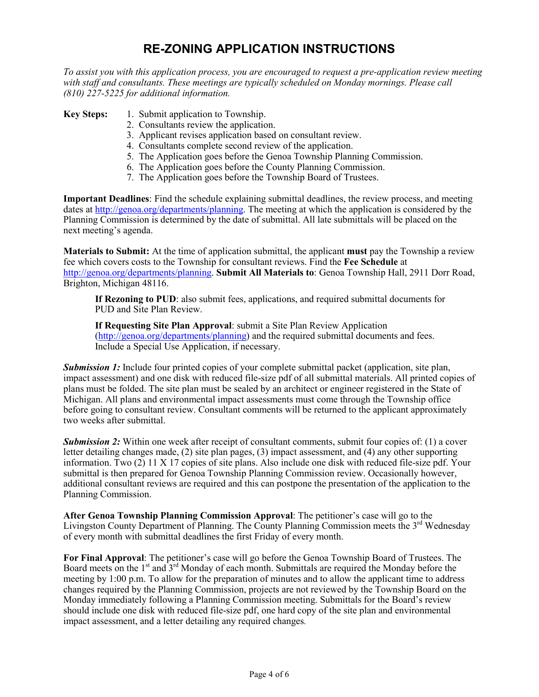## **RE-ZONING APPLICATION INSTRUCTIONS**

*To assist you with this application process, you are encouraged to request a pre-application review meeting with staff and consultants. These meetings are typically scheduled on Monday mornings. Please call (810) 227-5225 for additional information.*

**Key Steps:** 1. Submit application to Township.

- 2. Consultants review the application.
- 3. Applicant revises application based on consultant review.
- 4. Consultants complete second review of the application.
- 5. The Application goes before the Genoa Township Planning Commission.
- 6. The Application goes before the County Planning Commission.
- 7. The Application goes before the Township Board of Trustees.

**Important Deadlines**: Find the schedule explaining submittal deadlines, the review process, and meeting dates at [http://genoa.org/departments/planning.](http://genoa.org/departments/planning) The meeting at which the application is considered by the Planning Commission is determined by the date of submittal. All late submittals will be placed on the next meeting's agenda.

**Materials to Submit:** At the time of application submittal, the applicant **must** pay the Township a review fee which covers costs to the Township for consultant reviews. Find the **Fee Schedule** at [http://genoa.org/departments/planning.](http://genoa.org/departments/planning) **Submit All Materials to**: Genoa Township Hall, 2911 Dorr Road, Brighton, Michigan 48116.

**If Rezoning to PUD**: also submit fees, applications, and required submittal documents for PUD and Site Plan Review.

**If Requesting Site Plan Approval**: submit a Site Plan Review Application [\(http://genoa.org/departments/planning\)](http://genoa.org/departments/planning) and the required submittal documents and fees. Include a Special Use Application, if necessary.

*Submission 1:* Include four printed copies of your complete submittal packet (application, site plan, impact assessment) and one disk with reduced file-size pdf of all submittal materials. All printed copies of plans must be folded. The site plan must be sealed by an architect or engineer registered in the State of Michigan. All plans and environmental impact assessments must come through the Township office before going to consultant review. Consultant comments will be returned to the applicant approximately two weeks after submittal.

**Submission 2:** Within one week after receipt of consultant comments, submit four copies of: (1) a cover letter detailing changes made, (2) site plan pages, (3) impact assessment, and (4) any other supporting information. Two (2) 11 X 17 copies of site plans. Also include one disk with reduced file-size pdf. Your submittal is then prepared for Genoa Township Planning Commission review. Occasionally however, additional consultant reviews are required and this can postpone the presentation of the application to the Planning Commission.

**After Genoa Township Planning Commission Approval**: The petitioner's case will go to the Livingston County Department of Planning. The County Planning Commission meets the 3<sup>rd</sup> Wednesday of every month with submittal deadlines the first Friday of every month.

**For Final Approval**: The petitioner's case will go before the Genoa Township Board of Trustees. The Board meets on the 1<sup>st</sup> and 3<sup>rd</sup> Monday of each month. Submittals are required the Monday before the meeting by 1:00 p.m. To allow for the preparation of minutes and to allow the applicant time to address changes required by the Planning Commission, projects are not reviewed by the Township Board on the Monday immediately following a Planning Commission meeting. Submittals for the Board's review should include one disk with reduced file-size pdf, one hard copy of the site plan and environmental impact assessment, and a letter detailing any required changes*.*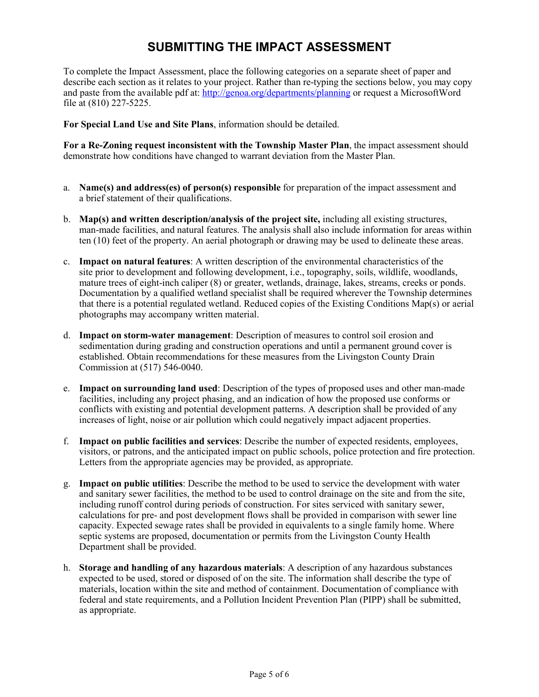# **SUBMITTING THE IMPACT ASSESSMENT**

To complete the Impact Assessment, place the following categories on a separate sheet of paper and describe each section as it relates to your project. Rather than re-typing the sections below, you may copy and paste from the available pdf at:<http://genoa.org/departments/planning> or request a MicrosoftWord file at (810) 227-5225.

**For Special Land Use and Site Plans**, information should be detailed.

**For a Re-Zoning request inconsistent with the Township Master Plan**, the impact assessment should demonstrate how conditions have changed to warrant deviation from the Master Plan.

- a. **Name(s) and address(es) of person(s) responsible** for preparation of the impact assessment and a brief statement of their qualifications.
- b. **Map(s) and written description/analysis of the project site,** including all existing structures, man-made facilities, and natural features. The analysis shall also include information for areas within ten (10) feet of the property. An aerial photograph or drawing may be used to delineate these areas.
- c. **Impact on natural features**: A written description of the environmental characteristics of the site prior to development and following development, i.e., topography, soils, wildlife, woodlands, mature trees of eight-inch caliper (8) or greater, wetlands, drainage, lakes, streams, creeks or ponds. Documentation by a qualified wetland specialist shall be required wherever the Township determines that there is a potential regulated wetland. Reduced copies of the Existing Conditions Map(s) or aerial photographs may accompany written material.
- d. **Impact on storm-water management**: Description of measures to control soil erosion and sedimentation during grading and construction operations and until a permanent ground cover is established. Obtain recommendations for these measures from the Livingston County Drain Commission at (517) 546-0040.
- e. **Impact on surrounding land used**: Description of the types of proposed uses and other man-made facilities, including any project phasing, and an indication of how the proposed use conforms or conflicts with existing and potential development patterns. A description shall be provided of any increases of light, noise or air pollution which could negatively impact adjacent properties.
- f. **Impact on public facilities and services**: Describe the number of expected residents, employees, visitors, or patrons, and the anticipated impact on public schools, police protection and fire protection. Letters from the appropriate agencies may be provided, as appropriate.
- g. **Impact on public utilities**: Describe the method to be used to service the development with water and sanitary sewer facilities, the method to be used to control drainage on the site and from the site, including runoff control during periods of construction. For sites serviced with sanitary sewer, calculations for pre- and post development flows shall be provided in comparison with sewer line capacity. Expected sewage rates shall be provided in equivalents to a single family home. Where septic systems are proposed, documentation or permits from the Livingston County Health Department shall be provided.
- h. **Storage and handling of any hazardous materials**: A description of any hazardous substances expected to be used, stored or disposed of on the site. The information shall describe the type of materials, location within the site and method of containment. Documentation of compliance with federal and state requirements, and a Pollution Incident Prevention Plan (PIPP) shall be submitted, as appropriate.